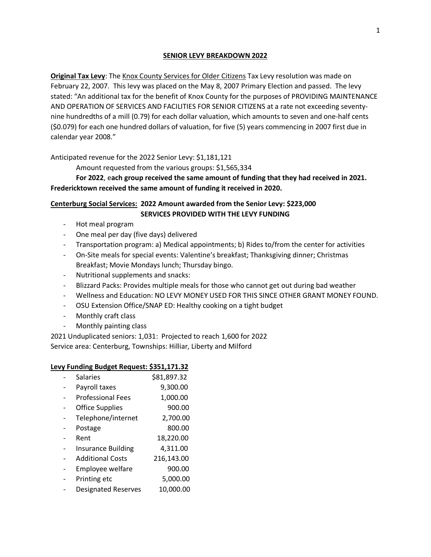#### **SENIOR LEVY BREAKDOWN 2022**

**Original Tax Levy:** The Knox County Services for Older Citizens Tax Levy resolution was made on February 22, 2007. This levy was placed on the May 8, 2007 Primary Election and passed. The levy stated: "An additional tax for the benefit of Knox County for the purposes of PROVIDING MAINTENANCE AND OPERATION OF SERVICES AND FACILITIES FOR SENIOR CITIZENS at a rate not exceeding seventynine hundredths of a mill (0.79) for each dollar valuation, which amounts to seven and one-half cents (\$0.079) for each one hundred dollars of valuation, for five (5) years commencing in 2007 first due in calendar year 2008."

#### Anticipated revenue for the 2022 Senior Levy: \$1,181,121

Amount requested from the various groups: \$1,565,334

**For 2022**, e**ach group received the same amount of funding that they had received in 2021. Fredericktown received the same amount of funding it received in 2020.**

### **Centerburg Social Services: 2022 Amount awarded from the Senior Levy: \$223,000 SERVICES PROVIDED WITH THE LEVY FUNDING**

- Hot meal program
- One meal per day (five days) delivered
- Transportation program: a) Medical appointments; b) Rides to/from the center for activities
- On-Site meals for special events: Valentine's breakfast; Thanksgiving dinner; Christmas Breakfast; Movie Mondays lunch; Thursday bingo.
- Nutritional supplements and snacks:
- Blizzard Packs: Provides multiple meals for those who cannot get out during bad weather
- Wellness and Education: NO LEVY MONEY USED FOR THIS SINCE OTHER GRANT MONEY FOUND.
- OSU Extension Office/SNAP ED: Healthy cooking on a tight budget
- Monthly craft class
- Monthly painting class

2021 Unduplicated seniors: 1,031: Projected to reach 1,600 for 2022 Service area: Centerburg, Townships: Hilliar, Liberty and Milford

#### **Levy Funding Budget Request: \$351,171.32**

| <b>Salaries</b>            | \$81,897.32 |
|----------------------------|-------------|
| Payroll taxes              | 9,300.00    |
| <b>Professional Fees</b>   | 1,000.00    |
| <b>Office Supplies</b>     | 900.00      |
| Telephone/internet         | 2,700.00    |
| Postage                    | 800.00      |
| Rent                       | 18,220.00   |
| <b>Insurance Building</b>  | 4,311.00    |
| <b>Additional Costs</b>    | 216,143.00  |
| Employee welfare           | 900.00      |
| Printing etc               | 5,000.00    |
| <b>Designated Reserves</b> | 10,000.00   |
|                            |             |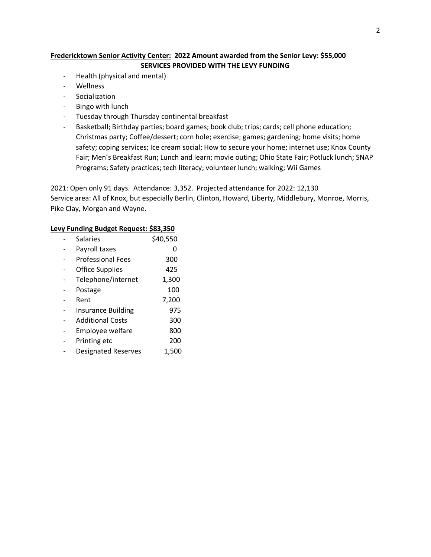# **Fredericktown Senior Activity Center: 2022 Amount awarded from the Senior Levy: \$55,000 SERVICES PROVIDED WITH THE LEVY FUNDING**

- Health (physical and mental)
- Wellness
- Socialization
- Bingo with lunch
- Tuesday through Thursday continental breakfast
- Basketball; Birthday parties; board games; book club; trips; cards; cell phone education; Christmas party; Coffee/dessert; corn hole; exercise; games; gardening; home visits; home safety; coping services; Ice cream social; How to secure your home; internet use; Knox County Fair; Men's Breakfast Run; Lunch and learn; movie outing; Ohio State Fair; Potluck lunch; SNAP Programs; Safety practices; tech literacy; volunteer lunch; walking; Wii Games

2021: Open only 91 days. Attendance: 3,352. Projected attendance for 2022: 12,130 Service area: All of Knox, but especially Berlin, Clinton, Howard, Liberty, Middlebury, Monroe, Morris, Pike Clay, Morgan and Wayne.

#### **Levy Funding Budget Request: \$83,350**

| <b>Salaries</b>            | \$40,550 |
|----------------------------|----------|
| Payroll taxes              |          |
| <b>Professional Fees</b>   | 300      |
| <b>Office Supplies</b>     | 425      |
| Telephone/internet         | 1,300    |
| Postage                    | 100      |
| Rent                       | 7,200    |
| <b>Insurance Building</b>  | 975      |
| <b>Additional Costs</b>    | 300      |
| Employee welfare           | 800      |
| Printing etc               | 200      |
| <b>Designated Reserves</b> | 1,500    |
|                            |          |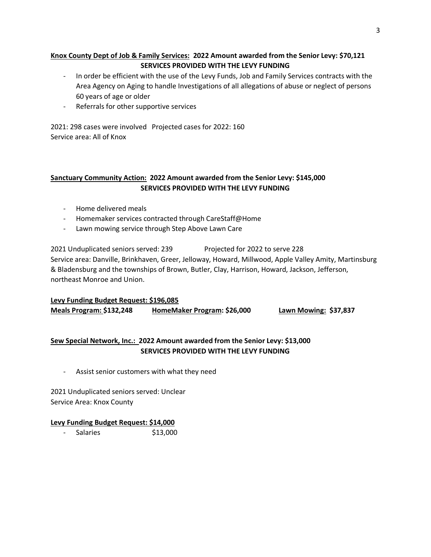# **Knox County Dept of Job & Family Services: 2022 Amount awarded from the Senior Levy: \$70,121 SERVICES PROVIDED WITH THE LEVY FUNDING**

- In order be efficient with the use of the Levy Funds, Job and Family Services contracts with the Area Agency on Aging to handle Investigations of all allegations of abuse or neglect of persons 60 years of age or older
- Referrals for other supportive services

2021: 298 cases were involved Projected cases for 2022: 160 Service area: All of Knox

# **Sanctuary Community Action: 2022 Amount awarded from the Senior Levy: \$145,000 SERVICES PROVIDED WITH THE LEVY FUNDING**

- Home delivered meals
- Homemaker services contracted through CareStaff@Home
- Lawn mowing service through Step Above Lawn Care

2021 Unduplicated seniors served: 239 Projected for 2022 to serve 228 Service area: Danville, Brinkhaven, Greer, Jelloway, Howard, Millwood, Apple Valley Amity, Martinsburg & Bladensburg and the townships of Brown, Butler, Clay, Harrison, Howard, Jackson, Jefferson, northeast Monroe and Union.

**Levy Funding Budget Request: \$196,085 Meals Program: \$132,248 HomeMaker Program: \$26,000 Lawn Mowing: \$37,837**

# **Sew Special Network, Inc.: 2022 Amount awarded from the Senior Levy: \$13,000 SERVICES PROVIDED WITH THE LEVY FUNDING**

- Assist senior customers with what they need

2021 Unduplicated seniors served: Unclear Service Area: Knox County

#### **Levy Funding Budget Request: \$14,000**

- Salaries \$13,000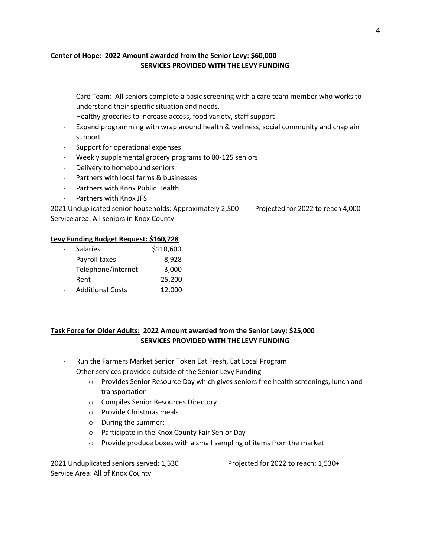### **Center of Hope: 2022 Amount awarded from the Senior Levy: \$60,000 SERVICES PROVIDED WITH THE LEVY FUNDING**

- Care Team: All seniors complete a basic screening with a care team member who works to understand their specific situation and needs.
- Healthy groceries to increase access, food variety, staff support
- Expand programming with wrap around health & wellness, social community and chaplain support
- Support for operational expenses
- Weekly supplemental grocery programs to 80-125 seniors
- Delivery to homebound seniors
- Partners with local farms & businesses
- Partners with Knox Public Health
- Partners with Knox JFS

2021 Unduplicated senior households: Approximately 2,500 Projected for 2022 to reach 4,000 Service area: All seniors in Knox County

#### **Levy Funding Budget Request: \$160,728**

- Salaries \$110,600 Payroll taxes 8,928 - Telephone/internet 3,000 - Rent 25,200
- Additional Costs 12,000

# **Task Force for Older Adults: 2022 Amount awarded from the Senior Levy: \$25,000 SERVICES PROVIDED WITH THE LEVY FUNDING**

- Run the Farmers Market Senior Token Eat Fresh, Eat Local Program
- Other services provided outside of the Senior Levy Funding
	- o Provides Senior Resource Day which gives seniors free health screenings, lunch and transportation
	- o Compiles Senior Resources Directory
	- o Provide Christmas meals
	- o During the summer:
	- o Participate in the Knox County Fair Senior Day
	- o Provide produce boxes with a small sampling of items from the market

2021 Unduplicated seniors served: 1,530 Projected for 2022 to reach: 1,530+ Service Area: All of Knox County